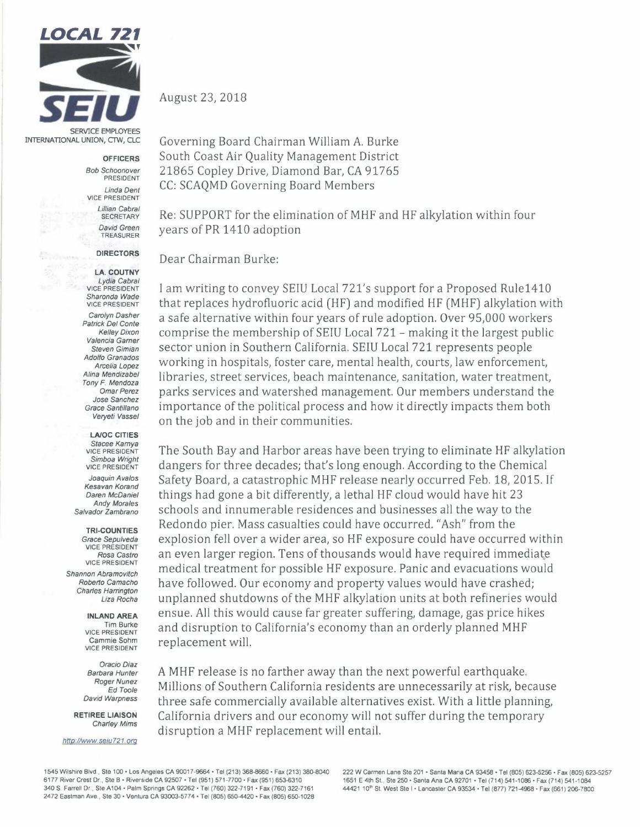

INTERNATIONAL UNION, CTW, CLC

**OFFICERS** 

*Bob Schoonover* PRESIDENT

*Linda Dent*  VICE PRESIDENT *Lillian Cabral*  **SECRETARY** *David Green*  TREASURER

## **DIRECTORS**

**LA. COUTNY**  *Lydia Cabral* VICE PRESIDENT *Sharonda Wade*  VICE PRESIDENT *Carolyn Dasher Patrick Del Conte Kelley Dixon Valencia Gamer Steven Gimian Adolfo Granados Arcelia Lopez Alina Mendizabel Tony F. Mendoza Omar Perez Jose Sanchez Grace Santillana Veryeti Vassel* 

LA/OC CITIES *Stacee Kamya* VICE PRESIDENT *Simboa Wright*  VICE PRESIDENT

*Joaquin Avalos Kesavan Korand Daren McDaniel Andy Morales Salvador Zambrano* 

**TRI-COUNTIES**  *Grace Sepulveda*  VICE PRESIDENT *Rosa Castro* VICE PRESIDENT *Shannon Abramovitch Roberto Camacho Charles Harrington* 

> **INLAND AREA**  Tim Burke VICE PRESIDENT Cammie Sohm VICE PRESIDENT

*Liza Rocha* 

*OracioDiaz Barbara Hunter Roger Nunez Ed Toole David Warpness* 

RETIREE **LIAISON**  *Charley Mims* 

*http://www.seiu721.org* 

August 23, 2018

Governing Board Chairman William A. Burke South Coast Air Quality Management District 21865 Copley Drive, Diamond Bar, CA 91765 CC: SCAQMD Governing Board Members

Re: SUPPORT for the elimination of MHF and HF alkylation within four years of PR 1410 adoption

Dear Chairman Burke:

I am writing to convey SEIU Local 721's support for a Proposed Rule1410 that replaces hydrofluoric acid (HF) and modified HF (MHF) alkylation with a safe alternative within four years of rule adoption. Over 95,000 workers comprise the membership of SEIU Local 721- making it the largest public sector union in Southern California. SEIU Local 721 represents people working in hospitals, foster care, mental health, courts, law enforcement, libraries, street services, beach maintenance, sanitation, water treatment, parks services and watershed management. Our members understand the importance of the political process and how it directly impacts them both on the job and in their communities.

The South Bay and Harbor areas have been trying to eliminate HF alkylation dangers for three decades; that's long enough. According to the Chemical Safety Board, a catastrophic MHF release nearly occurred Feb. 18, 2015. If things had gone a bit differently, a lethal HF cloud would have hit 23 schools and innumerable residences and businesses all the way to the Redondo pier. Mass casualties could have occurred. "Ash" from the explosion fell over a wider area, so HF exposure could have occurred within an even larger region. Tens of thousands would have required immediate medical treatment for possible HF exposure. Panic and evacuations would have followed. Our economy and property values would have crashed; unplanned shutdowns of the MHF alkylation units at both refineries would ensue. All this would cause far greater suffering, damage, gas price hikes and disruption to California's economy than an orderly planned MHF replacement will.

A MHF release is no farther away than the next powerful earthquake. Millions of Southern California residents are unnecessarily at risk, because three safe commercially available alternatives exist. With a little planning, California drivers and our economy will not suffer during the temporary disruption a MHF replacement will entail.